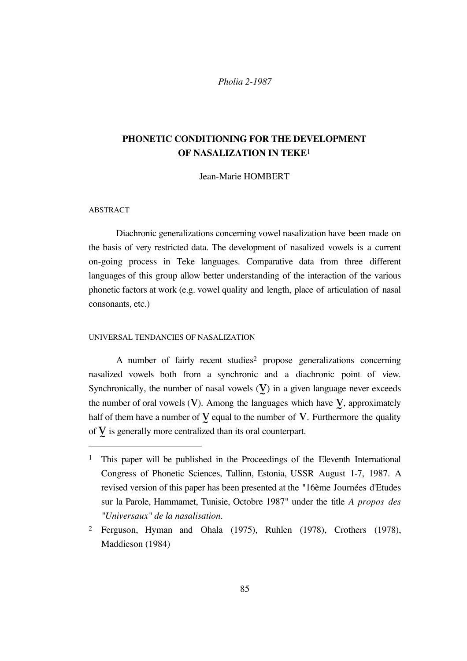### **PHONETIC CONDITIONING FOR THE DEVELOPMENT OF NASALIZATION IN TEKE**<sup>1</sup>

Jean-Marie HOMBERT

#### ABSTRACT

 $\overline{a}$ 

Diachronic generalizations concerning vowel nasalization have been made on the basis of very restricted data. The development of nasalized vowels is a current on-going process in Teke languages. Comparative data from three different languages of this group allow better understanding of the interaction of the various phonetic factors at work (e.g. vowel quality and length, place of articulation of nasal consonants, etc.)

#### UNIVERSAL TENDANCIES OF NASALIZATION

A number of fairly recent studies<sup>2</sup> propose generalizations concerning nasalized vowels both from a synchronic and a diachronic point of view. Synchronically, the number of nasal vowels  $(V)$  in a given language never exceeds the number of oral vowels  $(V)$ . Among the languages which have  $V$ , approximately half of them have a number of  $\underline{V}$  equal to the number of  $V$ . Furthermore the quality of  $V$  is generally more centralized than its oral counterpart.

<sup>&</sup>lt;sup>1</sup> This paper will be published in the Proceedings of the Eleventh International Congress of Phonetic Sciences, Tallinn, Estonia, USSR August 1-7, 1987. A revised version of this paper has been presented at the "16ème Journées d'Etudes sur la Parole, Hammamet, Tunisie, Octobre 1987" under the title *A propos des "Universaux" de la nasalisation.*

<sup>2</sup> Ferguson, Hyman and Ohala (1975), Ruhlen (1978), Crothers (1978), Maddieson (1984)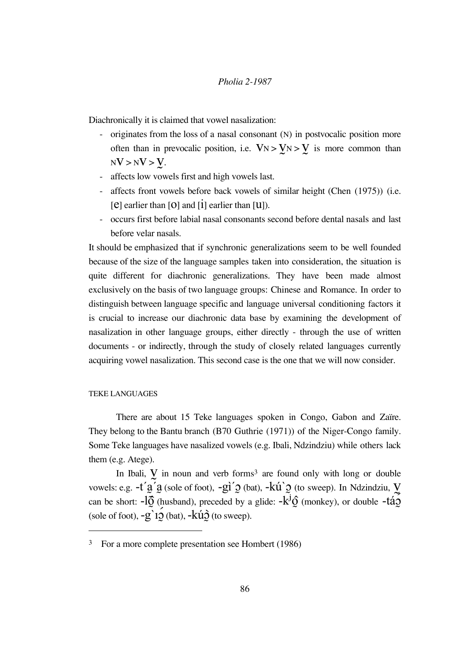Diachronically it is claimed that vowel nasalization:

- originates from the loss of a nasal consonant (N) in postvocalic position more often than in prevocalic position, i.e.  $V_N > V_N > V$  is more common than  $NV > NV > V.$
- affects low vowels first and high vowels last.
- affects front vowels before back vowels of similar height (Chen (1975)) (i.e. [e] earlier than [o] and [i] earlier than [u]).
- occurs first before labial nasal consonants second before dental nasals and last before velar nasals.

It should be emphasized that if synchronic generalizations seem to be well founded because of the size of the language samples taken into consideration, the situation is quite different for diachronic generalizations. They have been made almost exclusively on the basis of two language groups: Chinese and Romance. In order to distinguish between language specific and language universal conditioning factors it is crucial to increase our diachronic data base by examining the development of nasalization in other language groups, either directly - through the use of written documents - or indirectly, through the study of closely related languages currently acquiring vowel nasalization. This second case is the one that we will now consider.

#### TEKE LANGUAGES

 $\overline{a}$ 

There are about 15 Teke languages spoken in Congo, Gabon and Zaïre. They belong to the Bantu branch (B70 Guthrie (1971)) of the Niger-Congo family. Some Teke languages have nasalized vowels (e.g. Ibali, Ndzindziu) while others lack them (e.g. Atege).

In Ibali,  $\bf{V}$  in noun and verb forms<sup>3</sup> are found only with long or double vowels: e.g.  $-t'g'g$  (sole of foot),  $-gi'g$  (bat),  $-k'u'g$  (to sweep). In Ndzindziu,  $y$ can be short:  $-\hat{IQ}$  (husband), preceded by a glide:  $-\hat{k}^j\hat{Q}$  (monkey), or double  $-\hat{t4Q}$ (sole of foot),  $-g$  10 (bat),  $-k\acute{u}\dot{Q}$  (to sweep).

<sup>3</sup> For a more complete presentation see Hombert (1986)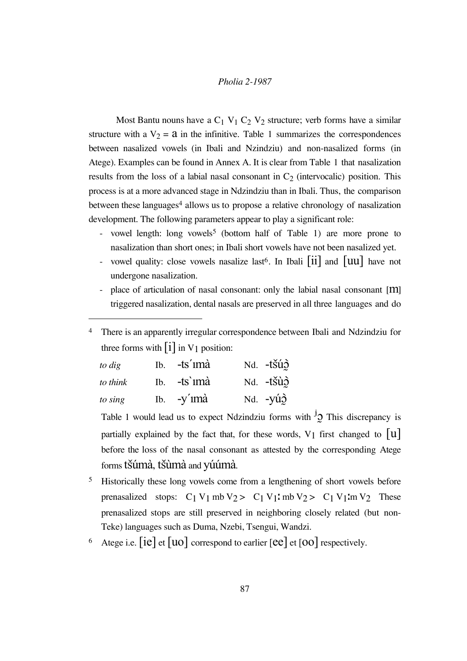Most Bantu nouns have a  $C_1$  V<sub>1</sub>  $C_2$  V<sub>2</sub> structure; verb forms have a similar structure with a  $V_2 = a$  in the infinitive. Table 1 summarizes the correspondences between nasalized vowels (in Ibali and Nzindziu) and non-nasalized forms (in Atege). Examples can be found in Annex A. It is clear from Table 1 that nasalization results from the loss of a labial nasal consonant in  $C_2$  (intervocalic) position. This process is at a more advanced stage in Ndzindziu than in Ibali. Thus, the comparison between these languages<sup>4</sup> allows us to propose a relative chronology of nasalization development. The following parameters appear to play a significant role:

- vowel length: long vowels<sup>5</sup> (bottom half of Table 1) are more prone to nasalization than short ones; in Ibali short vowels have not been nasalized yet.
- vowel quality: close vowels nasalize last<sup>6</sup>. In Ibali  $\begin{bmatrix} 11 \end{bmatrix}$  and  $\begin{bmatrix} 11 \end{bmatrix}$  have not undergone nasalization.
- place of articulation of nasal consonant: only the labial nasal consonant  $[m]$ triggered nasalization, dental nasals are preserved in all three languages and do

There is an apparently irregular correspondence between Ibali and Ndzindziu for three forms with  $\begin{bmatrix} 1 \end{bmatrix}$  in V<sub>1</sub> position:

| to dig   | $Ib.$ -ts' $im\grave{a}$ | Nd. - tšúð               |
|----------|--------------------------|--------------------------|
| to think | $Ib.$ -ts imà            | Nd. - tšùò               |
| to sing  | Ib. $-y'$ imà            | Nd. $-y\acute{u}\hat{y}$ |

 $\overline{a}$ 

Table 1 would lead us to expect Ndzindziu forms with  $\overline{J}$  This discrepancy is partially explained by the fact that, for these words, V<sub>1</sub> first changed to  $|u|$ before the loss of the nasal consonant as attested by the corresponding Atege forms tsúmà, tsùmà and yúúmà.

- <sup>5</sup> Historically these long vowels come from a lengthening of short vowels before prenasalized stops:  $C_1 V_1$  mb  $V_2 > C_1 V_1$  mb  $V_2 > C_1 V_1$  m  $V_2$  These prenasalized stops are still preserved in neighboring closely related (but non-Teke) languages such as Duma, Nzebi, Tsengui, Wandzi.
- <sup>6</sup> Atege i.e.  $[ie]$  et  $[uo]$  correspond to earlier  $[ee]$  et  $[oo]$  respectively.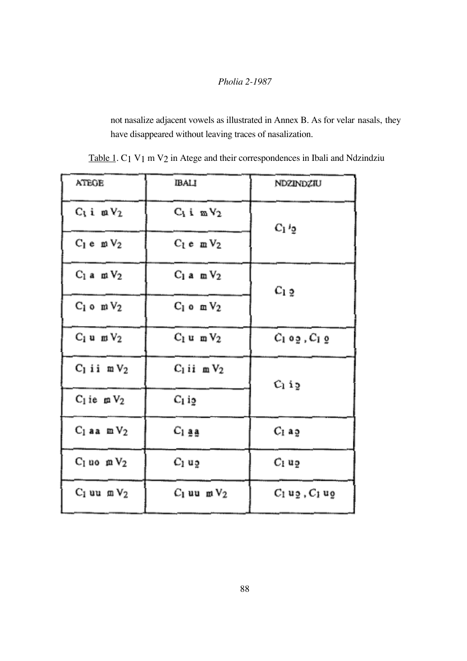not nasalize adjacent vowels as illustrated in Annex B. As for velar nasals, they have disappeared without leaving traces of nasalization.

| AIEGE                       | <b>IBALI</b>     | NDZINDZIU          |  |
|-----------------------------|------------------|--------------------|--|
| $C_1$ i $mV_2$              | $C_1$ i $mV_2$   | $C_1$ $Q_2$        |  |
| $C_1$ e m $V_2$             | $C_1 e$ m $V_2$  |                    |  |
| $C_1$ a $\,\,\mathrm{mV_2}$ | $C_1$ a m $V_2$  | $C_1$ 2            |  |
| $C_1$ o m $V_2$             | $C_1$ o m $V_2$  |                    |  |
| $C_1$ u m $V_2$             | $C_1$ um $V_2$   | $C_1$ og, $C_1$ g  |  |
| $C_1$ ii m $V_2$            | $C_1$ ii m $V_2$ | $C_1$ ig           |  |
| $C_1$ ie $\mu$ $V_2$        | $C_1$ is         |                    |  |
| $C_1$ aa m $V_2$            | Cı aa            | $C_1$ ag           |  |
| $C_1$ uo $mV_2$             | $C_1$ ug         | Cı uə              |  |
| $C_1$ uu m $V_2$            | $C_1$ uu m $V_2$ | $C_1$ ug, $C_1$ ug |  |

Table 1. C1 V1 m V2 in Atege and their correspondences in Ibali and Ndzindziu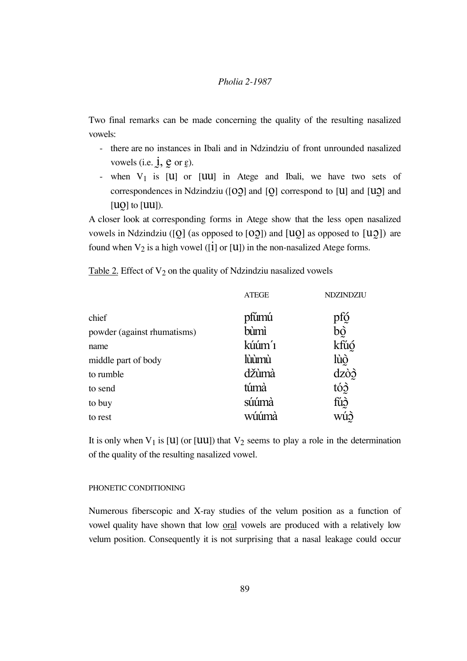Two final remarks can be made concerning the quality of the resulting nasalized vowels:

- there are no instances in Ibali and in Ndzindziu of front unrounded nasalized vowels (i.e.  $\mathbf{i}, \mathbf{e}$  or  $\mathbf{e}$ ).
- when  $V_1$  is  $|U|$  or  $|UU|$  in Atege and Ibali, we have two sets of correspondences in Ndzindziu ( $[00]$  and  $[0]$  correspond to  $[U]$  and  $[U0]$  and  $[UO]$  to  $[UU]$ ).

A closer look at corresponding forms in Atege show that the less open nasalized vowels in Ndzindziu ([O] (as opposed to [OO]) and  $[uo]$  as opposed to  $[uo]$ ) are found when  $V_2$  is a high vowel ([1] or [U]) in the non-nasalized Atege forms.

Table 2. Effect of  $V_2$  on the quality of Ndzindziu nasalized vowels

|                             | <b>ATEGE</b>      | NDZINDZIU |
|-----------------------------|-------------------|-----------|
| chief                       | pfúmú             | pfó       |
| powder (against rhumatisms) | bùmì              | bò        |
| name                        | kúúm <sup>'</sup> | kfúó      |
| middle part of body         | lùùmù             | lùò       |
| to rumble                   | džùmà             | dzòò      |
| to send                     | túmà              | tóg       |
| to buy                      | súúmà             | fúð       |
| to rest                     | wúúmà             | wúò       |

It is only when  $V_1$  is [U] (or [UU]) that  $V_2$  seems to play a role in the determination of the quality of the resulting nasalized vowel.

#### PHONETIC CONDITIONING

Numerous fiberscopic and X-ray studies of the velum position as a function of vowel quality have shown that low oral vowels are produced with a relatively low velum position. Consequently it is not surprising that a nasal leakage could occur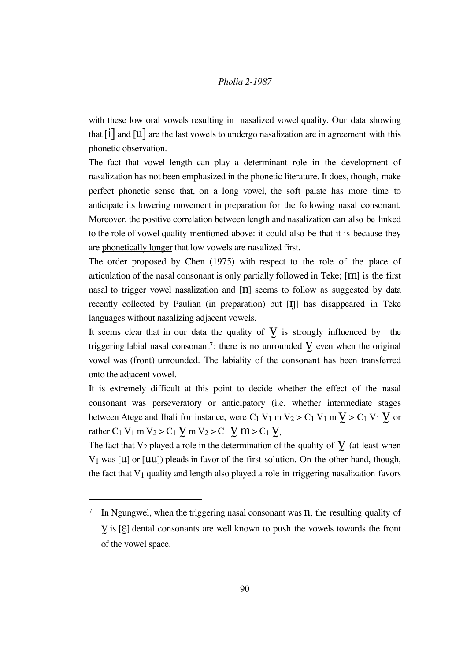with these low oral vowels resulting in nasalized vowel quality. Our data showing that  $\begin{bmatrix} 1 \end{bmatrix}$  and  $\begin{bmatrix} 1 \end{bmatrix}$  are the last vowels to undergo nasalization are in agreement with this phonetic observation.

The fact that vowel length can play a determinant role in the development of nasalization has not been emphasized in the phonetic literature. It does, though, make perfect phonetic sense that, on a long vowel, the soft palate has more time to anticipate its lowering movement in preparation for the following nasal consonant. Moreover, the positive correlation between length and nasalization can also be linked to the role of vowel quality mentioned above: it could also be that it is because they are phonetically longer that low vowels are nasalized first.

The order proposed by Chen (1975) with respect to the role of the place of articulation of the nasal consonant is only partially followed in Teke; [m] is the first nasal to trigger vowel nasalization and [n] seems to follow as suggested by data recently collected by Paulian (in preparation) but  $[\eta]$  has disappeared in Teke languages without nasalizing adjacent vowels.

It seems clear that in our data the quality of  $\sum$  is strongly influenced by the triggering labial nasal consonant<sup>7</sup>: there is no unrounded  $\bf{V}$  even when the original vowel was (front) unrounded. The labiality of the consonant has been transferred onto the adjacent vowel.

It is extremely difficult at this point to decide whether the effect of the nasal consonant was perseveratory or anticipatory (i.e. whether intermediate stages between Atege and Ibali for instance, were  $C_1 V_1 m V_2 > C_1 V_1 m V > C_1 V_1 V$  or rather C<sub>1</sub> V<sub>1</sub> m V<sub>2</sub> > C<sub>1</sub>  $\text{V}$  m V<sub>2</sub> > C<sub>1</sub>  $\text{V}$  m > C<sub>1</sub>  $\text{V}$ .

The fact that  $V_2$  played a role in the determination of the quality of  $\bf{V}$  (at least when  $V_1$  was [U] or [UU]) pleads in favor of the first solution. On the other hand, though, the fact that  $V_1$  quality and length also played a role in triggering nasalization favors

 $\overline{a}$ 

<sup>&</sup>lt;sup>7</sup> In Ngungwel, when the triggering nasal consonant was  $\hat{n}$ , the resulting quality of  $V$  is  $[\mathcal{E}]$  dental consonants are well known to push the vowels towards the front of the vowel space.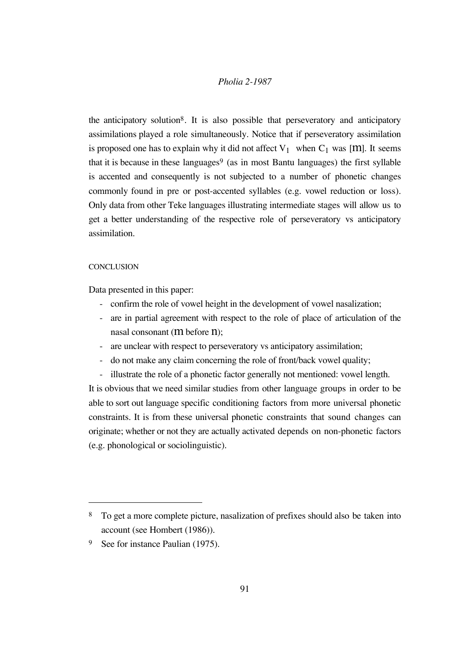the anticipatory solution8. It is also possible that perseveratory and anticipatory assimilations played a role simultaneously. Notice that if perseveratory assimilation is proposed one has to explain why it did not affect  $V_1$  when  $C_1$  was [M]. It seems that it is because in these languages<sup>9</sup> (as in most Bantu languages) the first syllable is accented and consequently is not subjected to a number of phonetic changes commonly found in pre or post-accented syllables (e.g. vowel reduction or loss). Only data from other Teke languages illustrating intermediate stages will allow us to get a better understanding of the respective role of perseveratory vs anticipatory assimilation.

#### **CONCLUSION**

 $\overline{a}$ 

Data presented in this paper:

- confirm the role of vowel height in the development of vowel nasalization;
- are in partial agreement with respect to the role of place of articulation of the nasal consonant (m before n);
- are unclear with respect to perseveratory vs anticipatory assimilation;
- do not make any claim concerning the role of front/back vowel quality;
- illustrate the role of a phonetic factor generally not mentioned: vowel length.

It is obvious that we need similar studies from other language groups in order to be able to sort out language specific conditioning factors from more universal phonetic constraints. It is from these universal phonetic constraints that sound changes can originate; whether or not they are actually activated depends on non-phonetic factors (e.g. phonological or sociolinguistic).

<sup>8</sup> To get a more complete picture, nasalization of prefixes should also be taken into account (see Hombert (1986)).

<sup>&</sup>lt;sup>9</sup> See for instance Paulian (1975).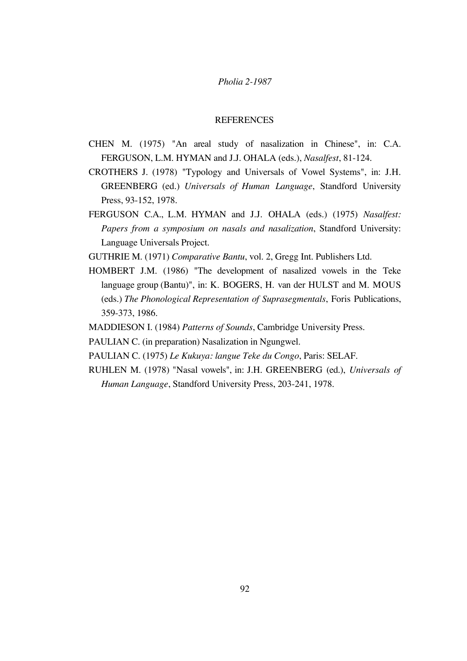#### **REFERENCES**

- CHEN M. (1975) "An areal study of nasalization in Chinese", in: C.A. FERGUSON, L.M. HYMAN and J.J. OHALA (eds.), *Nasalfest*, 81-124.
- CROTHERS J. (1978) "Typology and Universals of Vowel Systems", in: J.H. GREENBERG (ed.) *Universals of Human Language*, Standford University Press, 93-152, 1978.
- FERGUSON C.A., L.M. HYMAN and J.J. OHALA (eds.) (1975) *Nasalfest: Papers from a symposium on nasals and nasalization*, Standford University: Language Universals Project.
- GUTHRIE M. (1971) *Comparative Bantu*, vol. 2, Gregg Int. Publishers Ltd.
- HOMBERT J.M. (1986) "The development of nasalized vowels in the Teke language group (Bantu)", in: K. BOGERS, H. van der HULST and M. MOUS (eds.) *The Phonological Representation of Suprasegmentals*, Foris Publications, 359-373, 1986.
- MADDIESON I. (1984) *Patterns of Sounds*, Cambridge University Press.
- PAULIAN C. (in preparation) Nasalization in Ngungwel.
- PAULIAN C. (1975) *Le Kukuya: langue Teke du Congo*, Paris: SELAF.
- RUHLEN M. (1978) "Nasal vowels", in: J.H. GREENBERG (ed.), *Universals of Human Language*, Standford University Press, 203-241, 1978.